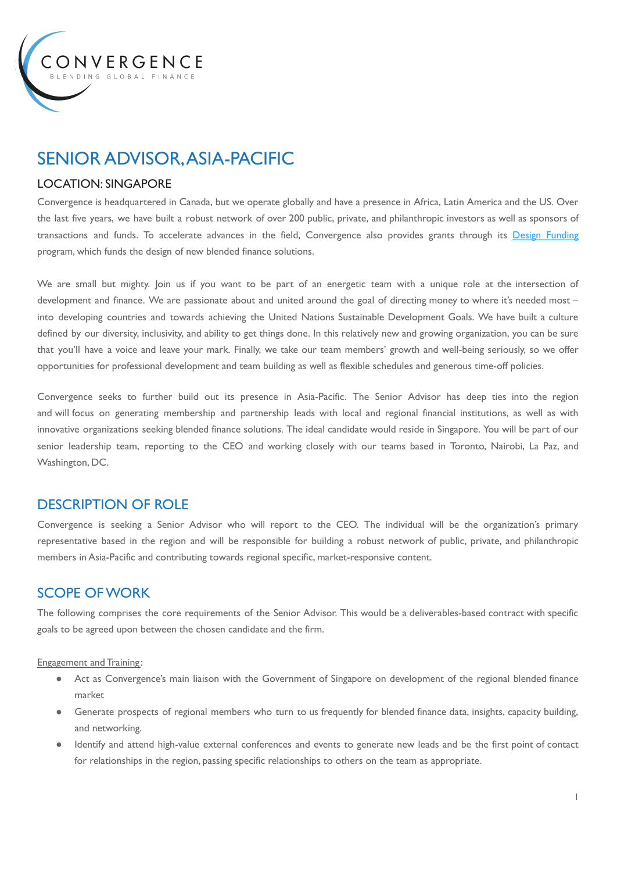

# SENIOR ADVISOR,ASIA-PACIFIC

### LOCATION: SINGAPORE

Convergence is headquartered in Canada, but we operate globally and have a presence in Africa, Latin America and the US. Over the last five years, we have built a robust network of over 200 public, private, and philanthropic investors as well as sponsors of transactions and funds. To accelerate advances in the field, Convergence also provides grants through its Design [Funding](https://www.convergence.finance/design-funding) program, which funds the design of new blended finance solutions.

We are small but mighty. Join us if you want to be part of an energetic team with a unique role at the intersection of development and finance. We are passionate about and united around the goal of directing money to where it's needed most into developing countries and towards achieving the United Nations Sustainable Development Goals. We have built a culture defined by our diversity, inclusivity, and ability to get things done. In this relatively new and growing organization, you can be sure that you'll have a voice and leave your mark. Finally, we take our team members' growth and well-being seriously, so we offer opportunities for professional development and team building as well as flexible schedules and generous time-off policies.

Convergence seeks to further build out its presence in Asia-Pacific. The Senior Advisor has deep ties into the region and will focus on generating membership and partnership leads with local and regional financial institutions, as well as with innovative organizations seeking blended finance solutions. The ideal candidate would reside in Singapore. You will be part of our senior leadership team, reporting to the CEO and working closely with our teams based in Toronto, Nairobi, La Paz, and Washington, DC.

### DESCRIPTION OF ROLE

Convergence is seeking a Senior Advisor who will report to the CEO. The individual will be the organization's primary representative based in the region and will be responsible for building a robust network of public, private, and philanthropic members in Asia-Pacific and contributing towards regional specific, market-responsive content.

# SCOPE OFWORK

The following comprises the core requirements of the Senior Advisor. This would be a deliverables-based contract with specific goals to be agreed upon between the chosen candidate and the firm.

Engagement and Training :

- Act as Convergence's main liaison with the Government of Singapore on development of the regional blended finance market
- Generate prospects of regional members who turn to us frequently for blended finance data, insights, capacity building, and networking.
- Identify and attend high-value external conferences and events to generate new leads and be the first point of contact for relationships in the region, passing specific relationships to others on the team as appropriate.